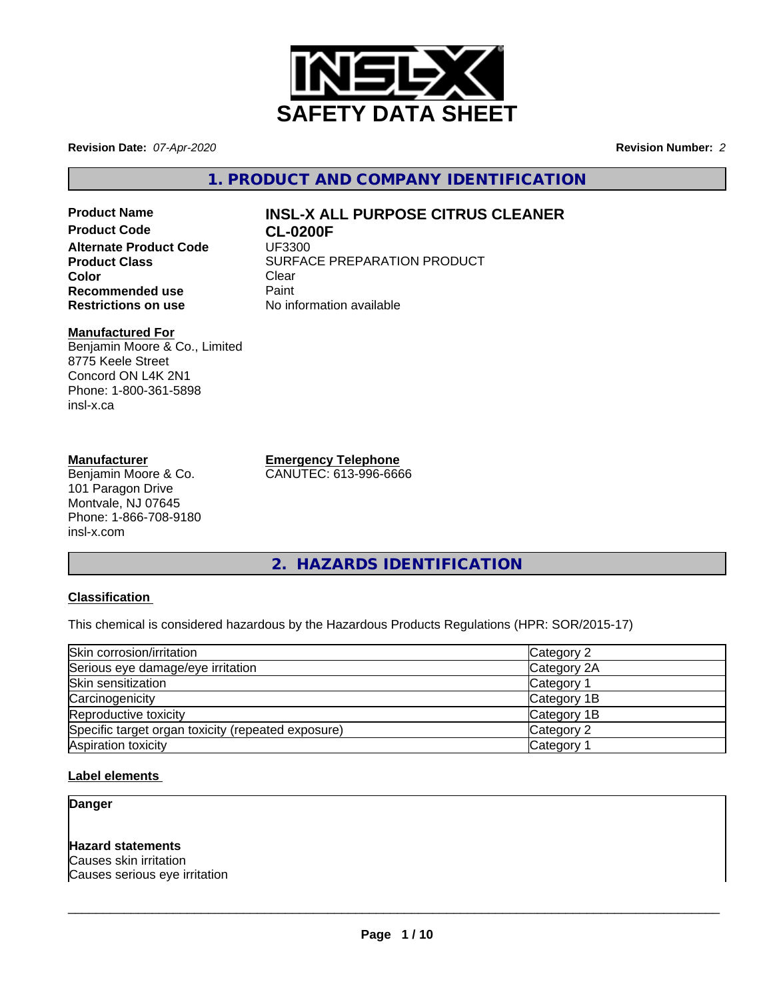

**Revision Date:** *07-Apr-2020* **Revision Number:** *2*

**1. PRODUCT AND COMPANY IDENTIFICATION**

**Product Code CL-0200F Alternate Product Code** UF3300 **Color** Clear Clear **Recommended use** Paint<br> **Restrictions on use** No inf

# **Product Name INSL-X ALL PURPOSE CITRUS CLEANER**

**Product Class SURFACE PREPARATION PRODUCT No information available** 

#### **Manufactured For**

Benjamin Moore & Co., Limited 8775 Keele Street Concord ON L4K 2N1 Phone: 1-800-361-5898 insl-x.ca

#### **Manufacturer**

Benjamin Moore & Co. 101 Paragon Drive Montvale, NJ 07645 Phone: 1-866-708-9180 insl-x.com

**Emergency Telephone**

CANUTEC: 613-996-6666

**2. HAZARDS IDENTIFICATION**

#### **Classification**

This chemical is considered hazardous by the Hazardous Products Regulations (HPR: SOR/2015-17)

| Skin corrosion/irritation                          | Category 2            |
|----------------------------------------------------|-----------------------|
| Serious eye damage/eye irritation                  | Category 2A           |
| Skin sensitization                                 | Category 1            |
| Carcinogenicity                                    | Category 1B           |
| Reproductive toxicity                              | Category 1B           |
| Specific target organ toxicity (repeated exposure) | Category 2            |
| Aspiration toxicity                                | Category <sup>2</sup> |

#### **Label elements**

#### **Danger**

#### **Hazard statements**

Causes skin irritation Causes serious eye irritation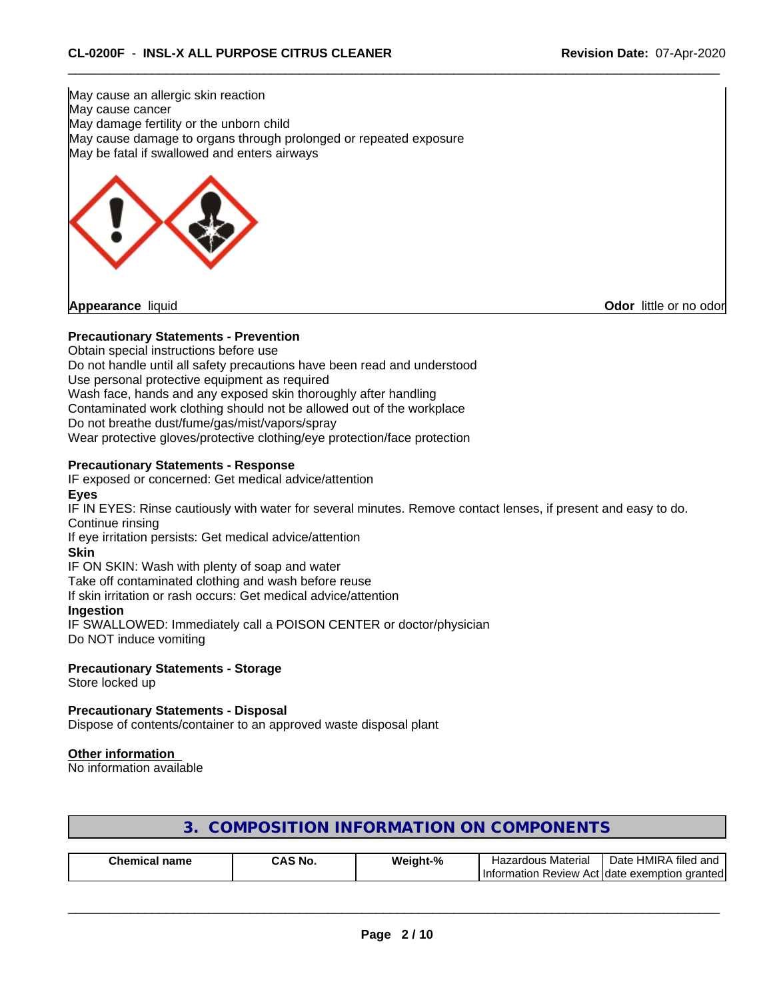May cause an allergic skin reaction May cause cancer May damage fertility or the unborn child May cause damage to organs through prolonged or repeated exposure May be fatal if swallowed and enters airways



**Odor** little or no odor

#### **Precautionary Statements - Prevention**

Obtain special instructions before use Do not handle until all safety precautions have been read and understood Use personal protective equipment as required Wash face, hands and any exposed skin thoroughly after handling Contaminated work clothing should not be allowed out of the workplace Do not breathe dust/fume/gas/mist/vapors/spray Wear protective gloves/protective clothing/eye protection/face protection

#### **Precautionary Statements - Response**

IF exposed or concerned: Get medical advice/attention

#### **Eyes**

IF IN EYES: Rinse cautiously with water for several minutes. Remove contact lenses, if present and easy to do. Continue rinsing

If eye irritation persists: Get medical advice/attention

#### **Skin**

IF ON SKIN: Wash with plenty of soap and water

Take off contaminated clothing and wash before reuse

If skin irritation or rash occurs: Get medical advice/attention

#### **Ingestion**

IF SWALLOWED: Immediately call a POISON CENTER or doctor/physician Do NOT induce vomiting

#### **Precautionary Statements - Storage**

Store locked up

#### **Precautionary Statements - Disposal**

Dispose of contents/container to an approved waste disposal plant

#### **Other information**

No information available

| Chemical<br>name | `S No.<br>^^`<br>. | о.<br>'eight- | Materia<br>zardous<br>–∽<br>naz | $\cdots$<br>. HMIR ⁄<br>Jate<br>d and<br>filed |
|------------------|--------------------|---------------|---------------------------------|------------------------------------------------|
|                  |                    |               | <b>I</b> Information<br>Review  | arantedl<br>Act Idate<br>. exemption           |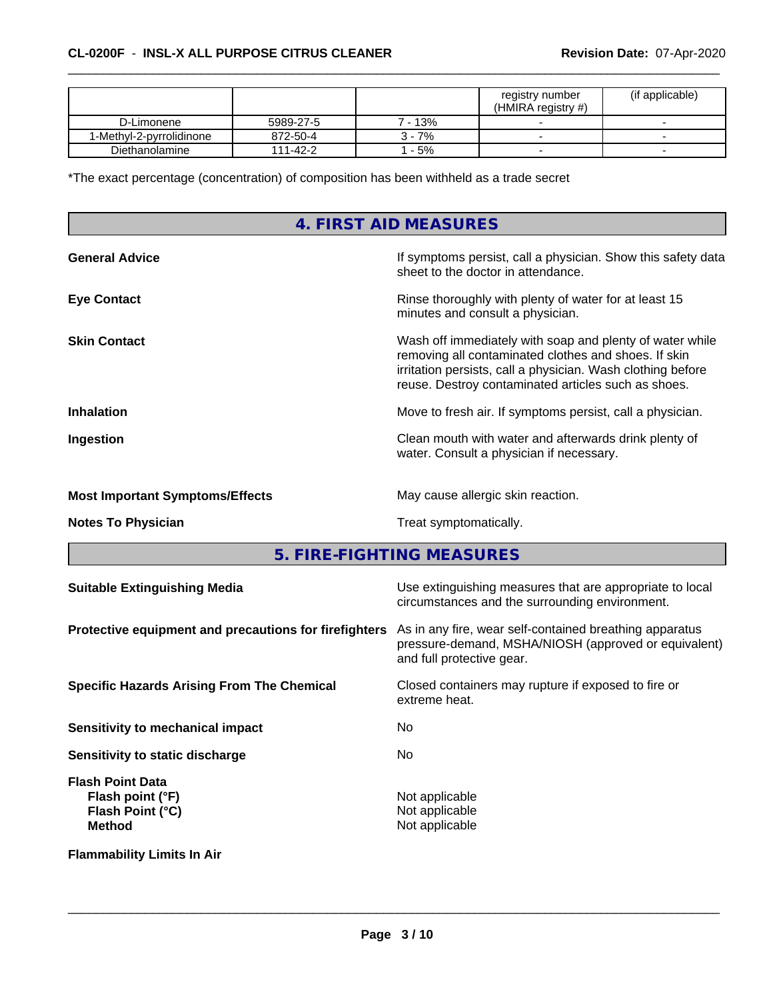|                          |           |          | registry number<br>(HMIRA registry #) | (if applicable)          |
|--------------------------|-----------|----------|---------------------------------------|--------------------------|
| D-Limonene               | 5989-27-5 | $-13%$   |                                       |                          |
| 1-Methvl-2-pvrrolidinone | 872-50-4  | $3 - 7%$ | -                                     |                          |
| Diethanolamine           | 111-42-2  | $-5%$    | -                                     | $\overline{\phantom{0}}$ |

\*The exact percentage (concentration) of composition has been withheld as a trade secret

### **4. FIRST AID MEASURES**

| <b>General Advice</b>                  | If symptoms persist, call a physician. Show this safety data<br>sheet to the doctor in attendance.                                                                                                                                     |
|----------------------------------------|----------------------------------------------------------------------------------------------------------------------------------------------------------------------------------------------------------------------------------------|
| <b>Eye Contact</b>                     | Rinse thoroughly with plenty of water for at least 15<br>minutes and consult a physician.                                                                                                                                              |
| <b>Skin Contact</b>                    | Wash off immediately with soap and plenty of water while<br>removing all contaminated clothes and shoes. If skin<br>irritation persists, call a physician. Wash clothing before<br>reuse. Destroy contaminated articles such as shoes. |
| <b>Inhalation</b>                      | Move to fresh air. If symptoms persist, call a physician.                                                                                                                                                                              |
| Ingestion                              | Clean mouth with water and afterwards drink plenty of<br>water. Consult a physician if necessary.                                                                                                                                      |
| <b>Most Important Symptoms/Effects</b> | May cause allergic skin reaction.                                                                                                                                                                                                      |
| <b>Notes To Physician</b>              | Treat symptomatically.                                                                                                                                                                                                                 |
|                                        |                                                                                                                                                                                                                                        |

**5. FIRE-FIGHTING MEASURES**

| <b>Suitable Extinguishing Media</b>                                              | Use extinguishing measures that are appropriate to local<br>circumstances and the surrounding environment.                                   |
|----------------------------------------------------------------------------------|----------------------------------------------------------------------------------------------------------------------------------------------|
| Protective equipment and precautions for firefighters                            | As in any fire, wear self-contained breathing apparatus<br>pressure-demand, MSHA/NIOSH (approved or equivalent)<br>and full protective gear. |
| <b>Specific Hazards Arising From The Chemical</b>                                | Closed containers may rupture if exposed to fire or<br>extreme heat.                                                                         |
| Sensitivity to mechanical impact                                                 | No.                                                                                                                                          |
| Sensitivity to static discharge                                                  | No.                                                                                                                                          |
| <b>Flash Point Data</b><br>Flash point (°F)<br>Flash Point (°C)<br><b>Method</b> | Not applicable<br>Not applicable<br>Not applicable                                                                                           |
| <b>Flammability Limits In Air</b>                                                |                                                                                                                                              |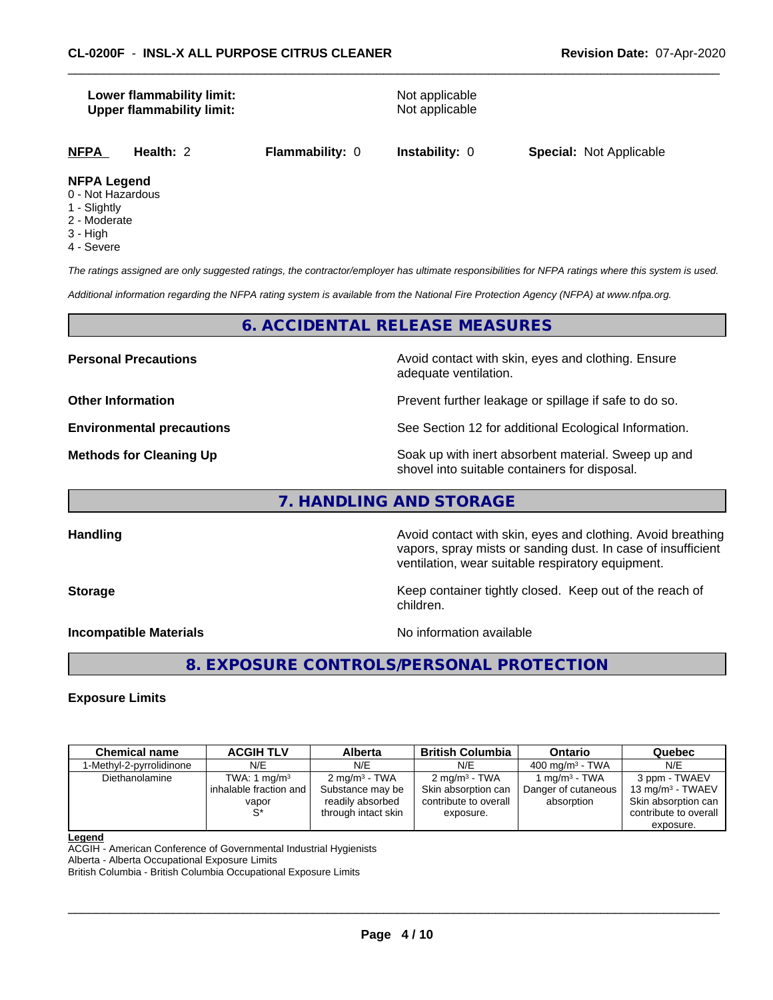#### **Lower flammability limit:** Not applicable **Upper flammability limit:** Not applicable

**NFPA Health:** 2 **Flammability:** 0 **Instability:** 0 **Special:** Not Applicable

#### **NFPA Legend**

- 0 Not Hazardous
- 1 Slightly
- 2 Moderate
- 3 High
- 4 Severe

*The ratings assigned are only suggested ratings, the contractor/employer has ultimate responsibilities for NFPA ratings where this system is used.*

*Additional information regarding the NFPA rating system is available from the National Fire Protection Agency (NFPA) at www.nfpa.org.*

#### **6. ACCIDENTAL RELEASE MEASURES**

**Personal Precautions Avoid contact with skin, eyes and clothing. Ensure** Avoid contact with skin, eyes and clothing. Ensure adequate ventilation.

**Other Information Department Information Department Intervent further leakage or spillage if safe to do so.** 

**Environmental precautions** See Section 12 for additional Ecological Information.

**Methods for Cleaning Up Example 20 Soak** up with inert absorbent material. Sweep up and shovel into suitable containers for disposal.

**7. HANDLING AND STORAGE**

**Handling Handling Avoid contact with skin, eyes and clothing. Avoid breathing** vapors, spray mists or sanding dust. In case of insufficient ventilation, wear suitable respiratory equipment.

**Storage Keep container tightly closed. Keep out of the reach of Keep Keep container tightly closed. Keep out of the reach of** children.

**Incompatible Materials No information available** 

 $\overline{\phantom{a}}$  ,  $\overline{\phantom{a}}$  ,  $\overline{\phantom{a}}$  ,  $\overline{\phantom{a}}$  ,  $\overline{\phantom{a}}$  ,  $\overline{\phantom{a}}$  ,  $\overline{\phantom{a}}$  ,  $\overline{\phantom{a}}$  ,  $\overline{\phantom{a}}$  ,  $\overline{\phantom{a}}$  ,  $\overline{\phantom{a}}$  ,  $\overline{\phantom{a}}$  ,  $\overline{\phantom{a}}$  ,  $\overline{\phantom{a}}$  ,  $\overline{\phantom{a}}$  ,  $\overline{\phantom{a}}$ 

#### **8. EXPOSURE CONTROLS/PERSONAL PROTECTION**

#### **Exposure Limits**

| <b>Chemical name</b>     | <b>ACGIH TLV</b>                                           | Alberta                                                                                 | <b>British Columbia</b>                                                               | <b>Ontario</b>                                     | Quebec                                                                                            |
|--------------------------|------------------------------------------------------------|-----------------------------------------------------------------------------------------|---------------------------------------------------------------------------------------|----------------------------------------------------|---------------------------------------------------------------------------------------------------|
| 1-Methyl-2-pyrrolidinone | N/E                                                        | N/E                                                                                     | N/E                                                                                   | $400 \text{ ma/m}^3$ - TWA                         | N/E                                                                                               |
| Diethanolamine           | TWA: 1 $mg/m3$<br>inhalable fraction and<br>vapor<br>$S^*$ | $2 \text{ mg/m}^3$ - TWA<br>Substance may be<br>readily absorbed<br>through intact skin | $2 \text{ mg/m}^3$ - TWA<br>Skin absorption can<br>contribute to overall<br>exposure. | 1 ma/mª - TWA<br>Danger of cutaneous<br>absorption | 3 ppm - TWAEV<br>13 mg/m $3$ - TWAEV<br>Skin absorption can<br>contribute to overall<br>exposure. |

#### **Legend**

ACGIH - American Conference of Governmental Industrial Hygienists

Alberta - Alberta Occupational Exposure Limits British Columbia - British Columbia Occupational Exposure Limits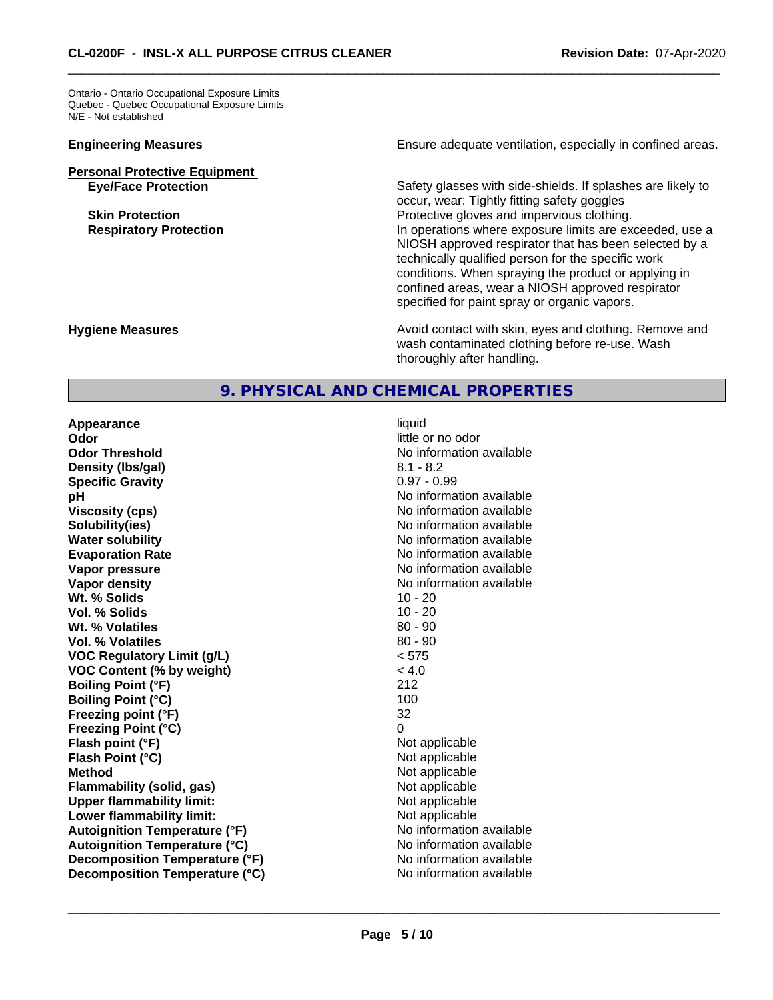Ontario - Ontario Occupational Exposure Limits Quebec - Quebec Occupational Exposure Limits N/E - Not established

## **Personal Protective Equipment**

**Engineering Measures Ensure adequate ventilation, especially in confined areas.** 

**Eye/Face Protection** Safety glasses with side-shields. If splashes are likely to occur, wear: Tightly fitting safety goggles **Skin Protection Protection** Protective gloves and impervious clothing. **Respiratory Protection In operations where exposure limits are exceeded, use a** NIOSH approved respirator that has been selected by a technically qualified person for the specific work conditions. When spraying the product or applying in confined areas, wear a NIOSH approved respirator specified for paint spray or organic vapors.

#### **Hygiene Measures Avoid contact with skin, eyes and clothing. Remove and Avoid contact with skin, eyes and clothing. Remove and Avoid contact with skin, eyes and clothing. Remove and** wash contaminated clothing before re-use. Wash thoroughly after handling.

### **9. PHYSICAL AND CHEMICAL PROPERTIES**

**Appearance** liquid **Odor** little or no odor **Odor Threshold No information available No information available Density (lbs/gal)** 8.1 - 8.2 **Specific Gravity** 0.97 - 0.99 **pH pH**  $\blacksquare$ **Viscosity (cps)** No information available **Solubility(ies)** No information available **Water solubility** No information available **Evaporation Rate No information available No information available Vapor pressure** No information available **Vapor density No information available No** information available **Wt. % Solids 10 - 20**<br> **Vol. % Solids 10 - 20 Vol. % Solids Wt. % Volatiles** 80 - 90 **Vol. % Volatiles** 80 - 90 **VOC Regulatory Limit (g/L)** < 575 **VOC Content (% by weight)** < 4.0 **Boiling Point (°F)** 212 **Boiling Point (°C)** 100 **Freezing point (°F)** 32 **Freezing Point (°C)** 0 **Flash point (°F)** Not applicable **Flash Point (°C)**<br> **Method**<br>
Not applicable<br>
Not applicable<br>
Not applicable **Flammability (solid, gas)** Not applicable **Upper flammability limit:** Not applicable **Lower flammability limit:** Not applicable **Autoignition Temperature (°F)**<br> **Autoignition Temperature (°C)** No information available **Autoignition Temperature (°C) Decomposition Temperature (°F)** No information available **Decomposition Temperature (°C)** No information available

**Not applicable**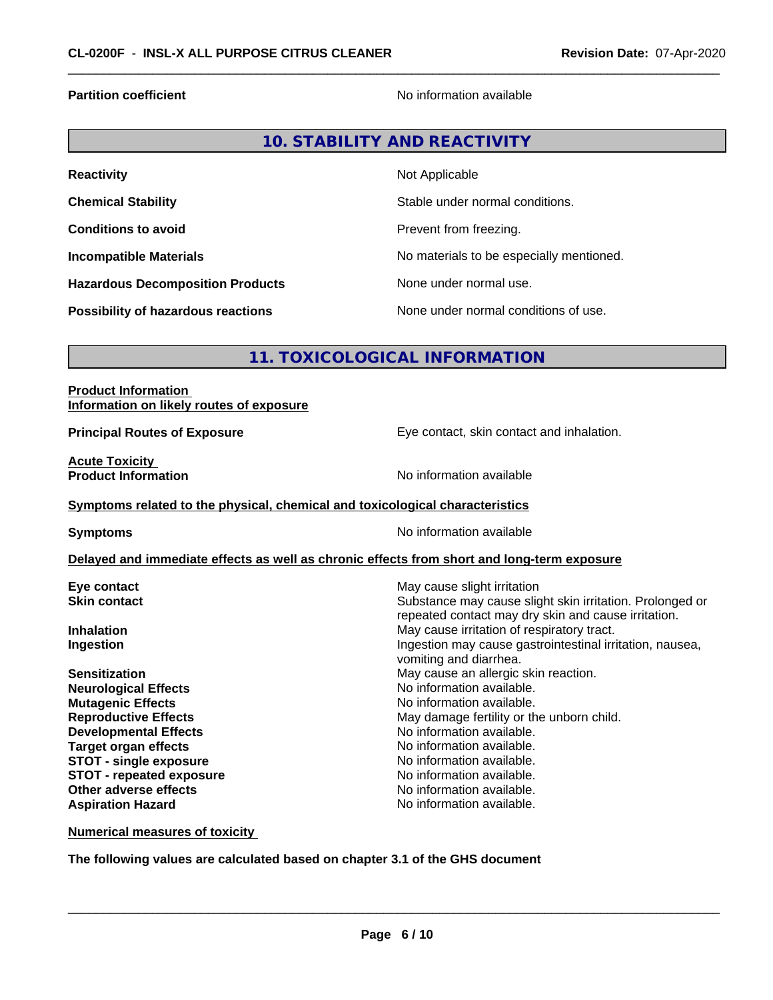**Partition coefficient** No information available

#### **10. STABILITY AND REACTIVITY**

| <b>Reactivity</b>                       | Not Applicable                           |
|-----------------------------------------|------------------------------------------|
| <b>Chemical Stability</b>               | Stable under normal conditions.          |
| <b>Conditions to avoid</b>              | Prevent from freezing.                   |
| <b>Incompatible Materials</b>           | No materials to be especially mentioned. |
| <b>Hazardous Decomposition Products</b> | None under normal use.                   |
| Possibility of hazardous reactions      | None under normal conditions of use.     |

#### **11. TOXICOLOGICAL INFORMATION**

#### **Product Information Information on likely routes of exposure**

**Principal Routes of Exposure Exposure** Eye contact, skin contact and inhalation.

**Acute Toxicity**<br>**Product Information** 

**No information available** 

#### **Symptoms related to the physical,chemical and toxicological characteristics**

**Symptoms** No information available

#### **Delayed and immediate effects as well as chronic effects from short and long-term exposure**

**Neurological Effects Mutagenic Effects No information available. Developmental Effects Target organ effects** Noinformation available. **STOT** - single exposure **No information available. STOT** - **repeated exposure** No information available. **Other adverse effects** Noinformation available. **Aspiration Hazard No information available.** 

**Eye contact Exercise Solution Exercise Solution May cause slight irritation Skin contact** Substance may cause slight skin irritation. Prolonged or repeated contact may dry skin and cause irritation. **Inhalation** May cause irritation of respiratory tract. **Ingestion Ingestion Ingestion may cause gastrointestinal irritation, nausea,** vomiting and diarrhea. **Sensitization**<br> **Neurological Effects**<br> **Neurological Effects**<br> **No** information available. **Reproductive Effects** May damage fertility or the unborn child.<br> **Developmental Effects** Moinformation available.

**Numerical measures of toxicity**

**The following values are calculated based on chapter 3.1 of the GHS document**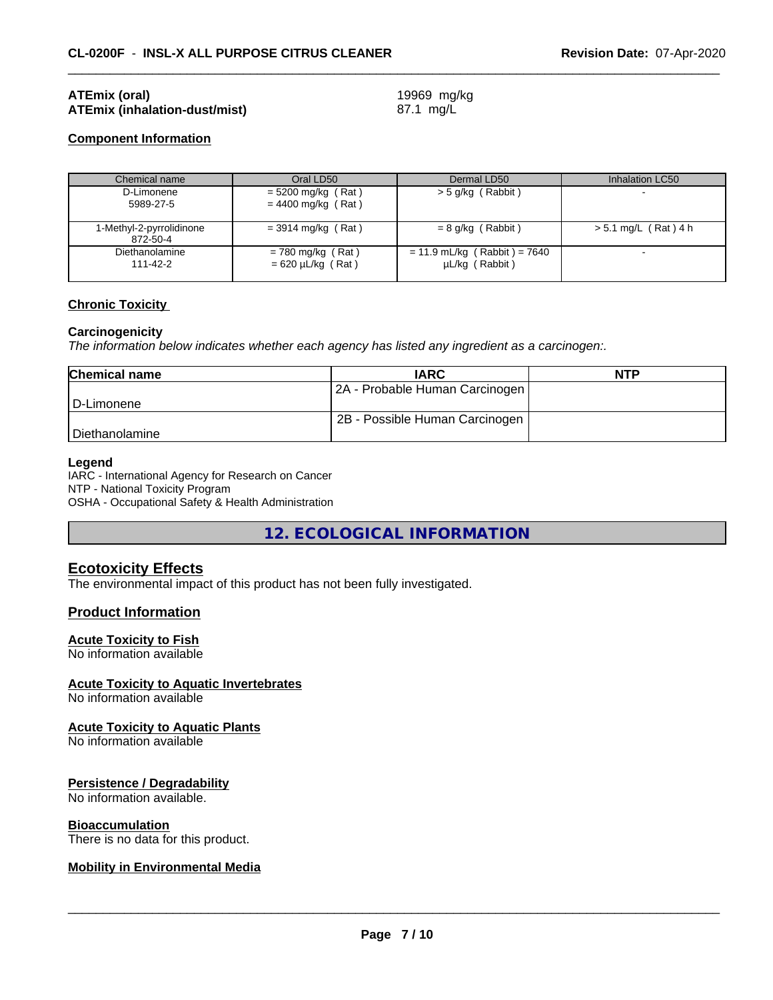#### **ATEmix (oral)** 19969 mg/kg **ATEmix (inhalation-dust/mist)** 87.1 mg/L

### **Component Information**

| Chemical name                        | Oral LD50                                     | Dermal LD50                                      | Inhalation LC50        |
|--------------------------------------|-----------------------------------------------|--------------------------------------------------|------------------------|
| D-Limonene<br>5989-27-5              | $= 5200$ mg/kg (Rat)<br>$= 4400$ mg/kg (Rat)  | > 5 g/kg (Rabbit)                                |                        |
| 1-Methyl-2-pyrrolidinone<br>872-50-4 | $=$ 3914 mg/kg (Rat)                          | $= 8$ g/kg (Rabbit)                              | $> 5.1$ mg/L (Rat) 4 h |
| Diethanolamine<br>111-42-2           | $= 780$ mg/kg (Rat)<br>$= 620 \mu L/kg$ (Rat) | $= 11.9$ mL/kg (Rabbit) = 7640<br>µL/kg (Rabbit) |                        |

#### **Chronic Toxicity**

#### **Carcinogenicity**

*The information below indicateswhether each agency has listed any ingredient as a carcinogen:.*

| <b>Chemical name</b> | <b>IARC</b>                    | <b>NTP</b> |
|----------------------|--------------------------------|------------|
|                      | 2A - Probable Human Carcinogen |            |
| l D-Limonene         |                                |            |
|                      | 2B - Possible Human Carcinogen |            |
| l Diethanolamine     |                                |            |

#### **Legend**

IARC - International Agency for Research on Cancer NTP - National Toxicity Program OSHA - Occupational Safety & Health Administration

**12. ECOLOGICAL INFORMATION**

#### **Ecotoxicity Effects**

The environmental impact of this product has not been fully investigated.

#### **Product Information**

#### **Acute Toxicity to Fish**

No information available

#### **Acute Toxicity to Aquatic Invertebrates**

No information available

#### **Acute Toxicity to Aquatic Plants**

No information available

#### **Persistence / Degradability**

No information available.

#### **Bioaccumulation**

There is no data for this product.

#### **Mobility in Environmental Media**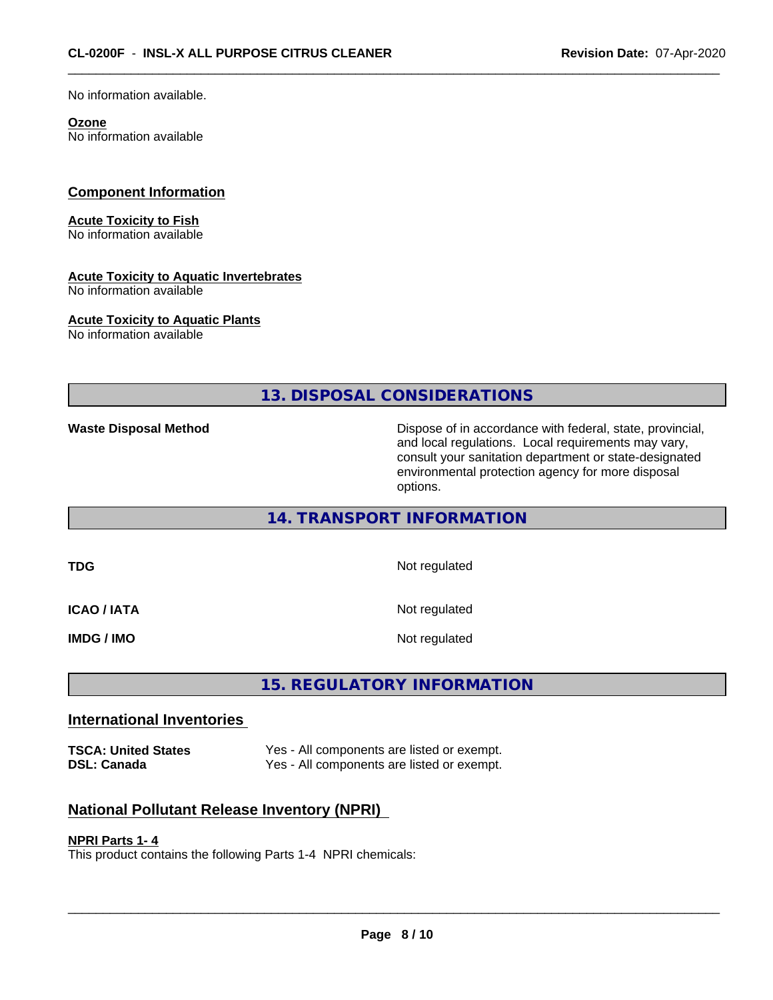No information available.

#### **Ozone**

No information available

#### **Component Information**

#### **Acute Toxicity to Fish**

No information available

#### **Acute Toxicity to Aquatic Invertebrates**

No information available

#### **Acute Toxicity to Aquatic Plants**

No information available

**13. DISPOSAL CONSIDERATIONS**

**Waste Disposal Method Dispose of in accordance with federal, state, provincial,** and local regulations. Local requirements may vary, consult your sanitation department or state-designated environmental protection agency for more disposal options.

#### **14. TRANSPORT INFORMATION**

**TDG** Not regulated

**ICAO / IATA** Not regulated

**IMDG / IMO** Not regulated

#### **15. REGULATORY INFORMATION**

#### **International Inventories**

**TSCA: United States** Yes - All components are listed or exempt.<br> **Nes - All components are listed or exempt.** Yes - All components are listed or exempt.

#### **National Pollutant Release Inventory (NPRI)**

#### **NPRI Parts 1- 4**

This product contains the following Parts 1-4 NPRI chemicals: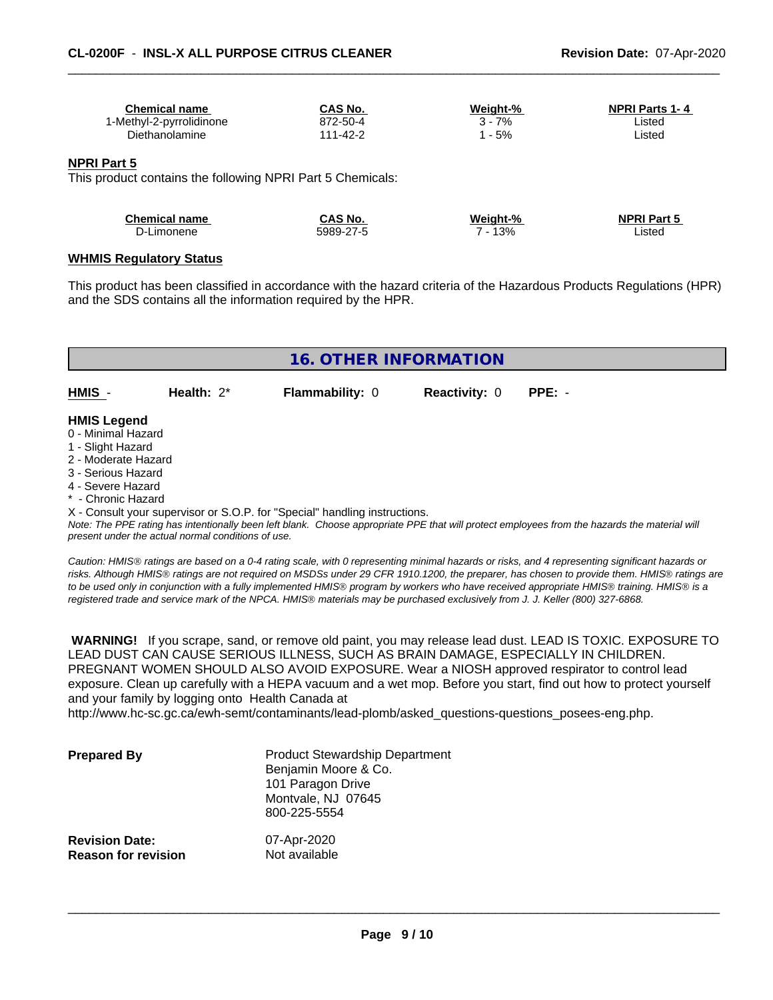| <b>Chemical name</b>     | <b>CAS No.</b> | Weight-% | <b>NPRI Parts 1-4</b> |
|--------------------------|----------------|----------|-----------------------|
| 1-Methyl-2-pyrrolidinone | 872-50-4       | 7%       | ∟isted                |
| Diethanolamine           | 111-42-2       | - 5%     | ∟isted                |
|                          |                |          |                       |

#### **NPRI Part 5**

This product contains the following NPRI Part 5 Chemicals:

| <b>Chemical name</b> | CAS No.   | Weight-% | <b>NPRI Part 5</b> |
|----------------------|-----------|----------|--------------------|
| D-Limonene           | 5989-27-5 | 13%      | ∟isted             |

#### **WHMIS Regulatory Status**

This product has been classified in accordance with the hazard criteria of the Hazardous Products Regulations (HPR) and the SDS contains all the information required by the HPR.

|                     |                                                    | <b>16. OTHER INFORMATION</b>                                               |                      |                                                                                                                                               |  |  |
|---------------------|----------------------------------------------------|----------------------------------------------------------------------------|----------------------|-----------------------------------------------------------------------------------------------------------------------------------------------|--|--|
|                     |                                                    |                                                                            |                      |                                                                                                                                               |  |  |
| HMIS -              | Health: $2^*$                                      | <b>Flammability: 0</b>                                                     | <b>Reactivity: 0</b> | $PPE: -$                                                                                                                                      |  |  |
|                     |                                                    |                                                                            |                      |                                                                                                                                               |  |  |
| <b>HMIS Legend</b>  |                                                    |                                                                            |                      |                                                                                                                                               |  |  |
| 0 - Minimal Hazard  |                                                    |                                                                            |                      |                                                                                                                                               |  |  |
| 1 - Slight Hazard   |                                                    |                                                                            |                      |                                                                                                                                               |  |  |
| 2 - Moderate Hazard |                                                    |                                                                            |                      |                                                                                                                                               |  |  |
| 3 - Serious Hazard  |                                                    |                                                                            |                      |                                                                                                                                               |  |  |
| 4 - Severe Hazard   |                                                    |                                                                            |                      |                                                                                                                                               |  |  |
| * - Chronic Hazard  |                                                    |                                                                            |                      |                                                                                                                                               |  |  |
|                     |                                                    | X - Consult your supervisor or S.O.P. for "Special" handling instructions. |                      |                                                                                                                                               |  |  |
|                     | present under the actual normal conditions of use. |                                                                            |                      | Note: The PPE rating has intentionally been left blank. Choose appropriate PPE that will protect employees from the hazards the material will |  |  |

*Caution: HMISÒ ratings are based on a 0-4 rating scale, with 0 representing minimal hazards or risks, and 4 representing significant hazards or risks. Although HMISÒ ratings are not required on MSDSs under 29 CFR 1910.1200, the preparer, has chosen to provide them. HMISÒ ratings are to be used only in conjunction with a fully implemented HMISÒ program by workers who have received appropriate HMISÒ training. HMISÒ is a registered trade and service mark of the NPCA. HMISÒ materials may be purchased exclusively from J. J. Keller (800) 327-6868.*

 **WARNING!** If you scrape, sand, or remove old paint, you may release lead dust. LEAD IS TOXIC. EXPOSURE TO LEAD DUST CAN CAUSE SERIOUS ILLNESS, SUCH AS BRAIN DAMAGE, ESPECIALLY IN CHILDREN. PREGNANT WOMEN SHOULD ALSO AVOID EXPOSURE.Wear a NIOSH approved respirator to control lead exposure. Clean up carefully with a HEPA vacuum and a wet mop. Before you start, find out how to protect yourself and your family by logging onto Health Canada at

http://www.hc-sc.gc.ca/ewh-semt/contaminants/lead-plomb/asked\_questions-questions\_posees-eng.php.

| <b>Prepared By</b>                                  | <b>Product Stewardship Department</b><br>Benjamin Moore & Co.<br>101 Paragon Drive<br>Montvale, NJ 07645<br>800-225-5554 |  |
|-----------------------------------------------------|--------------------------------------------------------------------------------------------------------------------------|--|
| <b>Revision Date:</b><br><b>Reason for revision</b> | 07-Apr-2020<br>Not available                                                                                             |  |